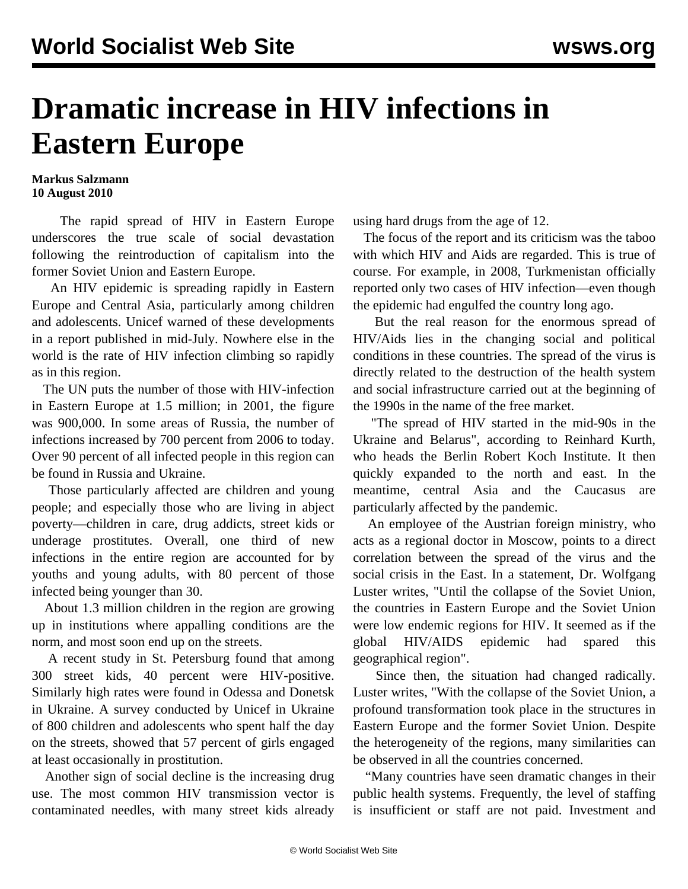## **Dramatic increase in HIV infections in Eastern Europe**

## **Markus Salzmann 10 August 2010**

 The rapid spread of HIV in Eastern Europe underscores the true scale of social devastation following the reintroduction of capitalism into the former Soviet Union and Eastern Europe.

 An HIV epidemic is spreading rapidly in Eastern Europe and Central Asia, particularly among children and adolescents. Unicef warned of these developments in a report published in mid-July. Nowhere else in the world is the rate of HIV infection climbing so rapidly as in this region.

 The UN puts the number of those with HIV-infection in Eastern Europe at 1.5 million; in 2001, the figure was 900,000. In some areas of Russia, the number of infections increased by 700 percent from 2006 to today. Over 90 percent of all infected people in this region can be found in Russia and Ukraine.

 Those particularly affected are children and young people; and especially those who are living in abject poverty—children in care, drug addicts, street kids or underage prostitutes. Overall, one third of new infections in the entire region are accounted for by youths and young adults, with 80 percent of those infected being younger than 30.

 About 1.3 million children in the region are growing up in institutions where appalling conditions are the norm, and most soon end up on the streets.

 A recent study in St. Petersburg found that among 300 street kids, 40 percent were HIV-positive. Similarly high rates were found in Odessa and Donetsk in Ukraine. A survey conducted by Unicef in Ukraine of 800 children and adolescents who spent half the day on the streets, showed that 57 percent of girls engaged at least occasionally in prostitution.

 Another sign of social decline is the increasing drug use. The most common HIV transmission vector is contaminated needles, with many street kids already using hard drugs from the age of 12.

 The focus of the report and its criticism was the taboo with which HIV and Aids are regarded. This is true of course. For example, in 2008, Turkmenistan officially reported only two cases of HIV infection—even though the epidemic had engulfed the country long ago.

 But the real reason for the enormous spread of HIV/Aids lies in the changing social and political conditions in these countries. The spread of the virus is directly related to the destruction of the health system and social infrastructure carried out at the beginning of the 1990s in the name of the free market.

 "The spread of HIV started in the mid-90s in the Ukraine and Belarus", according to Reinhard Kurth, who heads the Berlin Robert Koch Institute. It then quickly expanded to the north and east. In the meantime, central Asia and the Caucasus are particularly affected by the pandemic.

 An employee of the Austrian foreign ministry, who acts as a regional doctor in Moscow, points to a direct correlation between the spread of the virus and the social crisis in the East. In a statement, Dr. Wolfgang Luster writes, "Until the collapse of the Soviet Union, the countries in Eastern Europe and the Soviet Union were low endemic regions for HIV. It seemed as if the global HIV/AIDS epidemic had spared this geographical region".

 Since then, the situation had changed radically. Luster writes, "With the collapse of the Soviet Union, a profound transformation took place in the structures in Eastern Europe and the former Soviet Union. Despite the heterogeneity of the regions, many similarities can be observed in all the countries concerned.

 "Many countries have seen dramatic changes in their public health systems. Frequently, the level of staffing is insufficient or staff are not paid. Investment and